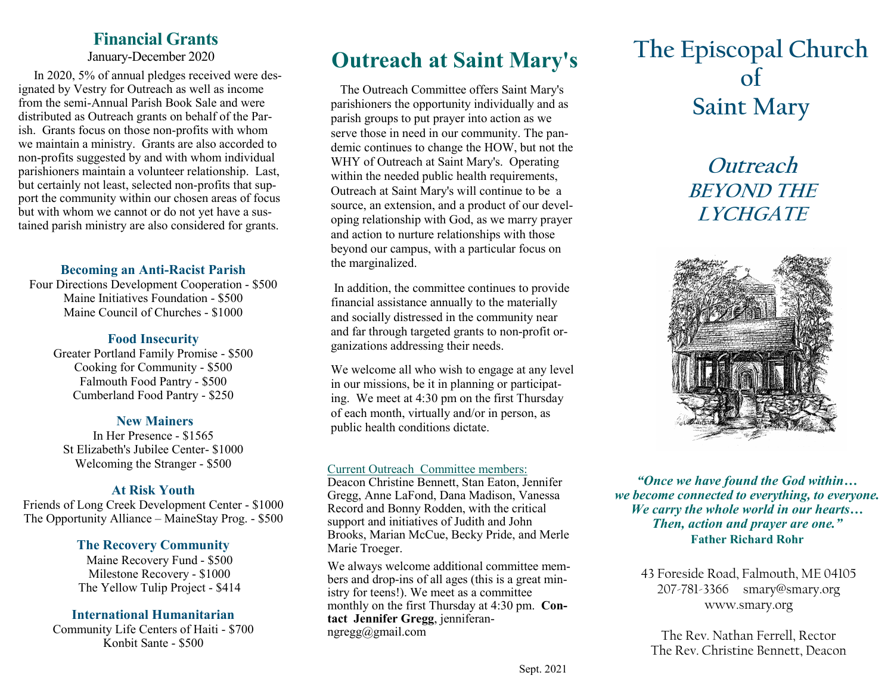## **Financial Grants**

January-December 2020

 In 2020, 5% of annual pledges received were designated by Vestry for Outreach as well as income from the semi-Annual Parish Book Sale and were distributed as Outreach grants on behalf of the Parish. Grants focus on those non-profits with whom we maintain a ministry. Grants are also accorded to non-profits suggested by and with whom individual parishioners maintain a volunteer relationship. Last, but certainly not least, selected non-profits that support the community within our chosen areas of focus but with whom we cannot or do not yet have a sustained parish ministry are also considered for grants.

## **Becoming an Anti-Racist Parish**

Four Directions Development Cooperation - \$500 Maine Initiatives Foundation - \$500 Maine Council of Churches - \$1000

## **Food Insecurity**

Greater Portland Family Promise - \$500 Cooking for Community - \$500 Falmouth Food Pantry - \$500 Cumberland Food Pantry - \$250

## **New Mainers**

In Her Presence - \$1565 St Elizabeth's Jubilee Center- \$1000 Welcoming the Stranger - \$500

## **At Risk Youth**

Friends of Long Creek Development Center - \$1000 The Opportunity Alliance – MaineStay Prog. - \$500

## **The Recovery Community**

Maine Recovery Fund - \$500 Milestone Recovery - \$1000 The Yellow Tulip Project - \$414

## **International Humanitarian**

Community Life Centers of Haiti - \$700 Konbit Sante - \$500

 The Outreach Committee offers Saint Mary's parishioners the opportunity individually and as parish groups to put prayer into action as we serve those in need in our community. The pandemic continues to change the HOW, but not the WHY of Outreach at Saint Mary's. Operating within the needed public health requirements, Outreach at Saint Mary's will continue to be a source, an extension, and a product of our developing relationship with God, as we marry prayer and action to nurture relationships with those beyond our campus, with a particular focus on the marginalized.

In addition, the committee continues to provide financial assistance annually to the materially and socially distressed in the community near and far through targeted grants to non-profit organizations addressing their needs.

We welcome all who wish to engage at any level in our missions, be it in planning or participating. We meet at 4:30 pm on the first Thursday of each month, virtually and/or in person, as public health conditions dictate.

## Current Outreach Committee members:

Deacon Christine Bennett, Stan Eaton, Jennifer Gregg, Anne LaFond, Dana Madison, Vanessa Record and Bonny Rodden, with the critical support and initiatives of Judith and John Brooks, Marian McCue, Becky Pride, and Merle Marie Troeger.

We always welcome additional committee members and drop-ins of all ages (this is a great ministry for teens!). We meet as a committee monthly on the first Thursday at 4:30 pm. **Contact Jennifer Gregg**, [jenniferan](mailto:jenniferanngregg@gmail.com)[ngregg@gmail.com](mailto:jenniferanngregg@gmail.com)

# **Outreach at Saint Mary's The Episcopal Church of Saint Mary**

## **Outreach BEYOND THE LYCHGATE**



*"Once we have found the God within… we become connected to everything, to everyone. We carry the whole world in our hearts… Then, action and prayer are one."* **Father Richard Rohr**

> 43 Foreside Road, Falmouth, ME 04105 207-781-3366 smary@smary.org www.smary.org

The Rev. Nathan Ferrell, Rector The Rev. Christine Bennett, Deacon